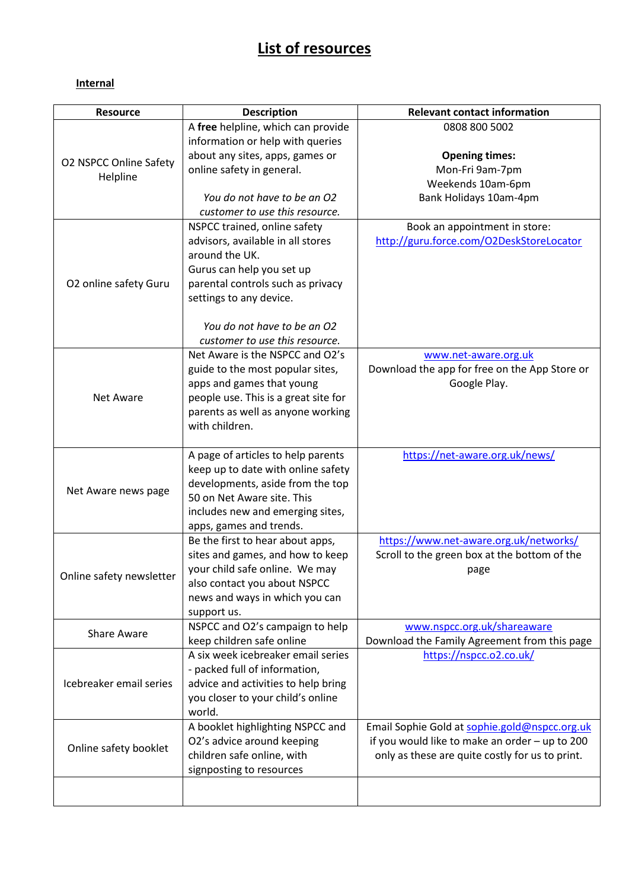# **List of resources**

### **Internal**

| <b>Resource</b>          | <b>Description</b>                                                        | <b>Relevant contact information</b>             |
|--------------------------|---------------------------------------------------------------------------|-------------------------------------------------|
|                          | A free helpline, which can provide                                        | 0808 800 5002                                   |
|                          | information or help with queries                                          |                                                 |
|                          | about any sites, apps, games or                                           | <b>Opening times:</b>                           |
| O2 NSPCC Online Safety   | online safety in general.                                                 | Mon-Fri 9am-7pm                                 |
| Helpline                 |                                                                           | Weekends 10am-6pm                               |
|                          | You do not have to be an O2                                               | Bank Holidays 10am-4pm                          |
|                          | customer to use this resource.                                            |                                                 |
|                          | NSPCC trained, online safety                                              | Book an appointment in store:                   |
|                          | advisors, available in all stores                                         | http://guru.force.com/O2DeskStoreLocator        |
|                          | around the UK.                                                            |                                                 |
|                          | Gurus can help you set up                                                 |                                                 |
| O2 online safety Guru    | parental controls such as privacy                                         |                                                 |
|                          | settings to any device.                                                   |                                                 |
|                          |                                                                           |                                                 |
|                          | You do not have to be an O2                                               |                                                 |
|                          | customer to use this resource.                                            |                                                 |
|                          | Net Aware is the NSPCC and O2's                                           | www.net-aware.org.uk                            |
|                          | guide to the most popular sites,                                          | Download the app for free on the App Store or   |
|                          | apps and games that young                                                 | Google Play.                                    |
| Net Aware                | people use. This is a great site for<br>parents as well as anyone working |                                                 |
|                          | with children.                                                            |                                                 |
|                          |                                                                           |                                                 |
|                          | A page of articles to help parents                                        | https://net-aware.org.uk/news/                  |
|                          | keep up to date with online safety                                        |                                                 |
|                          | developments, aside from the top                                          |                                                 |
| Net Aware news page      | 50 on Net Aware site. This                                                |                                                 |
|                          | includes new and emerging sites,                                          |                                                 |
|                          | apps, games and trends.                                                   |                                                 |
|                          | Be the first to hear about apps,                                          | https://www.net-aware.org.uk/networks/          |
|                          | sites and games, and how to keep                                          | Scroll to the green box at the bottom of the    |
| Online safety newsletter | your child safe online. We may                                            | page                                            |
|                          | also contact you about NSPCC                                              |                                                 |
|                          | news and ways in which you can                                            |                                                 |
|                          | support us.                                                               |                                                 |
| <b>Share Aware</b>       | NSPCC and O2's campaign to help                                           | www.nspcc.org.uk/shareaware                     |
|                          | keep children safe online                                                 | Download the Family Agreement from this page    |
|                          | A six week icebreaker email series                                        | https://nspcc.o2.co.uk/                         |
|                          | - packed full of information,                                             |                                                 |
| Icebreaker email series  | advice and activities to help bring                                       |                                                 |
|                          | you closer to your child's online                                         |                                                 |
|                          | world.                                                                    |                                                 |
| Online safety booklet    | A booklet highlighting NSPCC and                                          | Email Sophie Gold at sophie.gold@nspcc.org.uk   |
|                          | O2's advice around keeping                                                | if you would like to make an order - up to 200  |
|                          | children safe online, with<br>signposting to resources                    | only as these are quite costly for us to print. |
|                          |                                                                           |                                                 |
|                          |                                                                           |                                                 |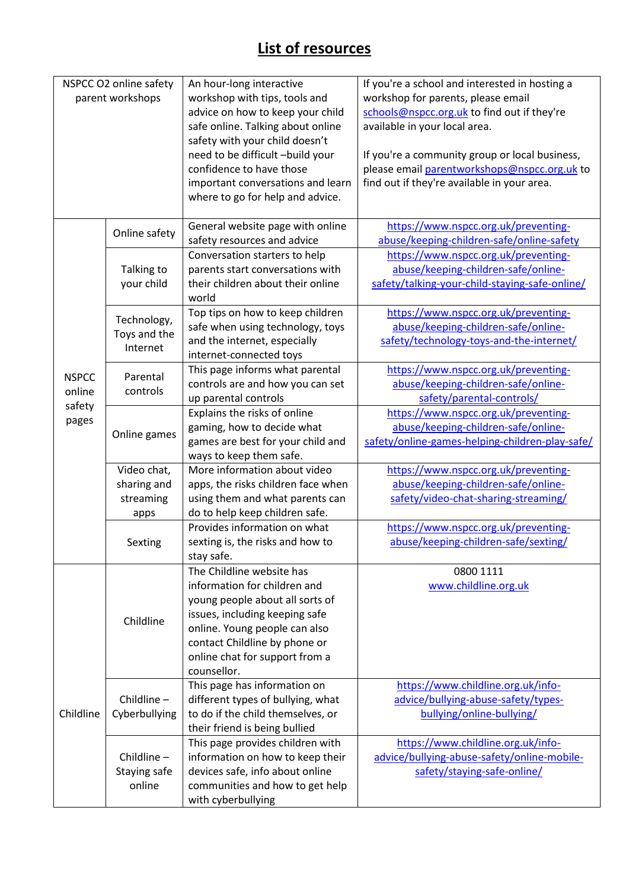# **List of resources**

| NSPCC O2 online safety |                             | An hour-long interactive           | If you're a school and interested in hosting a  |
|------------------------|-----------------------------|------------------------------------|-------------------------------------------------|
| parent workshops       |                             | workshop with tips, tools and      | workshop for parents, please email              |
|                        |                             | advice on how to keep your child   | schools@nspcc.org.uk to find out if they're     |
|                        |                             | safe online. Talking about online  | available in your local area.                   |
|                        |                             | safety with your child doesn't     |                                                 |
|                        |                             | need to be difficult -build your   | If you're a community group or local business,  |
|                        |                             | confidence to have those           | please email parentworkshops@nspcc.org.uk to    |
|                        |                             | important conversations and learn  | find out if they're available in your area.     |
|                        |                             | where to go for help and advice.   |                                                 |
|                        |                             |                                    |                                                 |
|                        | Online safety               | General website page with online   | https://www.nspcc.org.uk/preventing-            |
|                        |                             | safety resources and advice        | abuse/keeping-children-safe/online-safety       |
|                        |                             | Conversation starters to help      | https://www.nspcc.org.uk/preventing-            |
|                        | Talking to                  | parents start conversations with   | abuse/keeping-children-safe/online-             |
|                        | your child                  | their children about their online  | safety/talking-your-child-staying-safe-online/  |
|                        |                             | world                              |                                                 |
|                        |                             | Top tips on how to keep children   | https://www.nspcc.org.uk/preventing-            |
|                        | Technology,                 | safe when using technology, toys   | abuse/keeping-children-safe/online-             |
|                        | Toys and the                | and the internet, especially       | safety/technology-toys-and-the-internet/        |
|                        | Internet                    | internet-connected toys            |                                                 |
|                        |                             | This page informs what parental    | https://www.nspcc.org.uk/preventing-            |
| <b>NSPCC</b>           | Parental                    | controls are and how you can set   | abuse/keeping-children-safe/online-             |
| online                 | controls                    |                                    |                                                 |
| safety                 |                             | up parental controls               | safety/parental-controls/                       |
| pages                  | Online games                | Explains the risks of online       | https://www.nspcc.org.uk/preventing-            |
|                        |                             | gaming, how to decide what         | abuse/keeping-children-safe/online-             |
|                        |                             | games are best for your child and  | safety/online-games-helping-children-play-safe/ |
|                        |                             | ways to keep them safe.            |                                                 |
|                        | Video chat,                 | More information about video       | https://www.nspcc.org.uk/preventing-            |
|                        | sharing and<br>streaming    | apps, the risks children face when | abuse/keeping-children-safe/online-             |
|                        |                             | using them and what parents can    | safety/video-chat-sharing-streaming/            |
|                        | apps                        | do to help keep children safe.     |                                                 |
|                        | Sexting                     | Provides information on what       | https://www.nspcc.org.uk/preventing-            |
|                        |                             | sexting is, the risks and how to   | abuse/keeping-children-safe/sexting/            |
|                        |                             | stay safe.                         |                                                 |
|                        | Childline                   | The Childline website has          | 0800 1111                                       |
|                        |                             | information for children and       | www.childline.org.uk                            |
|                        |                             | young people about all sorts of    |                                                 |
|                        |                             | issues, including keeping safe     |                                                 |
|                        |                             | online. Young people can also      |                                                 |
|                        |                             | contact Childline by phone or      |                                                 |
|                        |                             | online chat for support from a     |                                                 |
|                        |                             | counsellor.                        |                                                 |
|                        | Childline-<br>Cyberbullying | This page has information on       | https://www.childline.org.uk/info-              |
|                        |                             | different types of bullying, what  | advice/bullying-abuse-safety/types-             |
| Childline              |                             | to do if the child themselves, or  | bullying/online-bullying/                       |
|                        |                             | their friend is being bullied      |                                                 |
|                        |                             | This page provides children with   | https://www.childline.org.uk/info-              |
|                        | Childline-                  | information on how to keep their   | advice/bullying-abuse-safety/online-mobile-     |
|                        | Staying safe                | devices safe, info about online    | safety/staying-safe-online/                     |
|                        | online                      | communities and how to get help    |                                                 |
|                        |                             | with cyberbullying                 |                                                 |